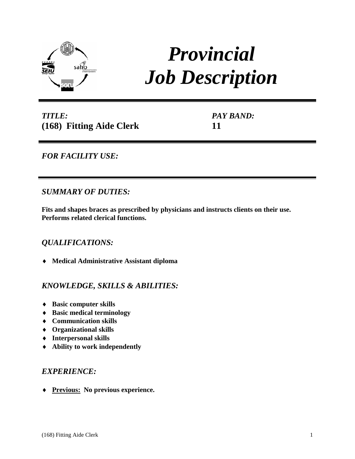

# *Provincial Job Description*

*TITLE:* **(168) Fitting Aide Clerk** *PAY BAND:* **11**

*FOR FACILITY USE:* 

*SUMMARY OF DUTIES:*

**Fits and shapes braces as prescribed by physicians and instructs clients on their use. Performs related clerical functions.**

## *QUALIFICATIONS:*

♦ **Medical Administrative Assistant diploma**

## *KNOWLEDGE, SKILLS & ABILITIES:*

- ♦ **Basic computer skills**
- ♦ **Basic medical terminology**
- ♦ **Communication skills**
- ♦ **Organizational skills**
- ♦ **Interpersonal skills**
- ♦ **Ability to work independently**

### *EXPERIENCE:*

♦ **Previous: No previous experience.**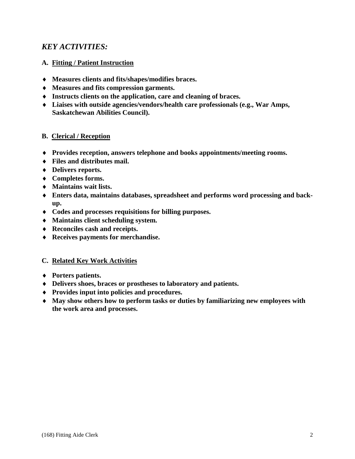## *KEY ACTIVITIES:*

#### **A. Fitting / Patient Instruction**

- ♦ **Measures clients and fits/shapes/modifies braces.**
- ♦ **Measures and fits compression garments.**
- ♦ **Instructs clients on the application, care and cleaning of braces.**
- ♦ **Liaises with outside agencies/vendors/health care professionals (e.g., War Amps, Saskatchewan Abilities Council).**

#### **B. Clerical / Reception**

- ♦ **Provides reception, answers telephone and books appointments/meeting rooms.**
- ♦ **Files and distributes mail.**
- ♦ **Delivers reports.**
- ♦ **Completes forms.**
- ♦ **Maintains wait lists.**
- ♦ **Enters data, maintains databases, spreadsheet and performs word processing and backup.**
- ♦ **Codes and processes requisitions for billing purposes.**
- ♦ **Maintains client scheduling system.**
- ♦ **Reconciles cash and receipts.**
- ♦ **Receives payments for merchandise.**

#### **C. Related Key Work Activities**

- ♦ **Porters patients.**
- ♦ **Delivers shoes, braces or prostheses to laboratory and patients.**
- ♦ **Provides input into policies and procedures.**
- ♦ **May show others how to perform tasks or duties by familiarizing new employees with the work area and processes.**